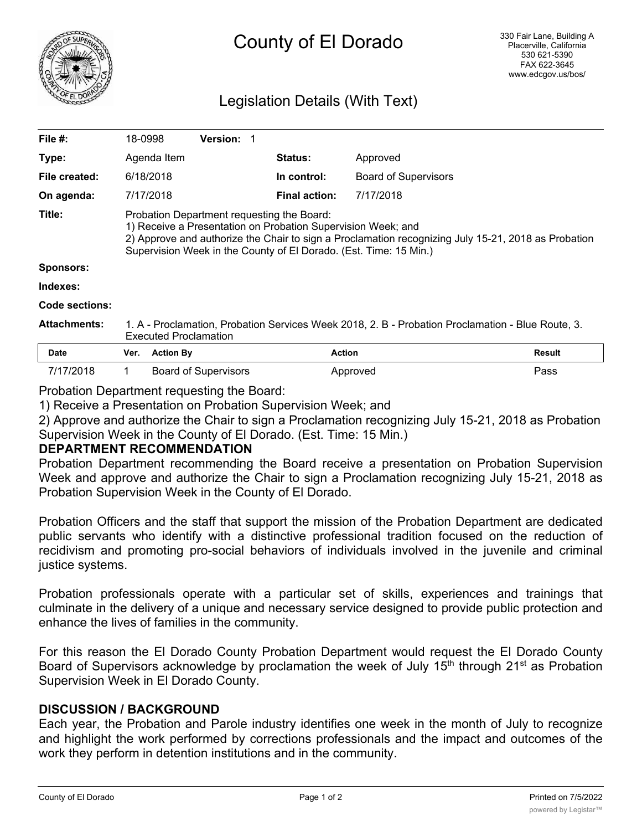

# County of El Dorado

# Legislation Details (With Text)

| File #:             | 18-0998                                                                                                                                                                                                                                                                                | <b>Version:</b>             |                      |                             |               |
|---------------------|----------------------------------------------------------------------------------------------------------------------------------------------------------------------------------------------------------------------------------------------------------------------------------------|-----------------------------|----------------------|-----------------------------|---------------|
| Type:               | Agenda Item                                                                                                                                                                                                                                                                            |                             | <b>Status:</b>       | Approved                    |               |
| File created:       | 6/18/2018                                                                                                                                                                                                                                                                              |                             | In control:          | <b>Board of Supervisors</b> |               |
| On agenda:          | 7/17/2018                                                                                                                                                                                                                                                                              |                             | <b>Final action:</b> | 7/17/2018                   |               |
| Title:              | Probation Department requesting the Board:<br>1) Receive a Presentation on Probation Supervision Week; and<br>2) Approve and authorize the Chair to sign a Proclamation recognizing July 15-21, 2018 as Probation<br>Supervision Week in the County of El Dorado. (Est. Time: 15 Min.) |                             |                      |                             |               |
| <b>Sponsors:</b>    |                                                                                                                                                                                                                                                                                        |                             |                      |                             |               |
| Indexes:            |                                                                                                                                                                                                                                                                                        |                             |                      |                             |               |
| Code sections:      |                                                                                                                                                                                                                                                                                        |                             |                      |                             |               |
| <b>Attachments:</b> | 1. A - Proclamation, Probation Services Week 2018, 2. B - Probation Proclamation - Blue Route, 3.<br><b>Executed Proclamation</b>                                                                                                                                                      |                             |                      |                             |               |
| <b>Date</b>         | Ver.                                                                                                                                                                                                                                                                                   | <b>Action By</b>            | <b>Action</b>        |                             | <b>Result</b> |
| 7/17/2018           | 1                                                                                                                                                                                                                                                                                      | <b>Board of Supervisors</b> |                      | Approved                    | Pass          |

Probation Department requesting the Board:

1) Receive a Presentation on Probation Supervision Week; and

2) Approve and authorize the Chair to sign a Proclamation recognizing July 15-21, 2018 as Probation Supervision Week in the County of El Dorado. (Est. Time: 15 Min.)

# **DEPARTMENT RECOMMENDATION**

Probation Department recommending the Board receive a presentation on Probation Supervision Week and approve and authorize the Chair to sign a Proclamation recognizing July 15-21, 2018 as Probation Supervision Week in the County of El Dorado.

Probation Officers and the staff that support the mission of the Probation Department are dedicated public servants who identify with a distinctive professional tradition focused on the reduction of recidivism and promoting pro-social behaviors of individuals involved in the juvenile and criminal justice systems.

Probation professionals operate with a particular set of skills, experiences and trainings that culminate in the delivery of a unique and necessary service designed to provide public protection and enhance the lives of families in the community.

For this reason the El Dorado County Probation Department would request the El Dorado County Board of Supervisors acknowledge by proclamation the week of July 15<sup>th</sup> through 21<sup>st</sup> as Probation Supervision Week in El Dorado County.

# **DISCUSSION / BACKGROUND**

Each year, the Probation and Parole industry identifies one week in the month of July to recognize and highlight the work performed by corrections professionals and the impact and outcomes of the work they perform in detention institutions and in the community.